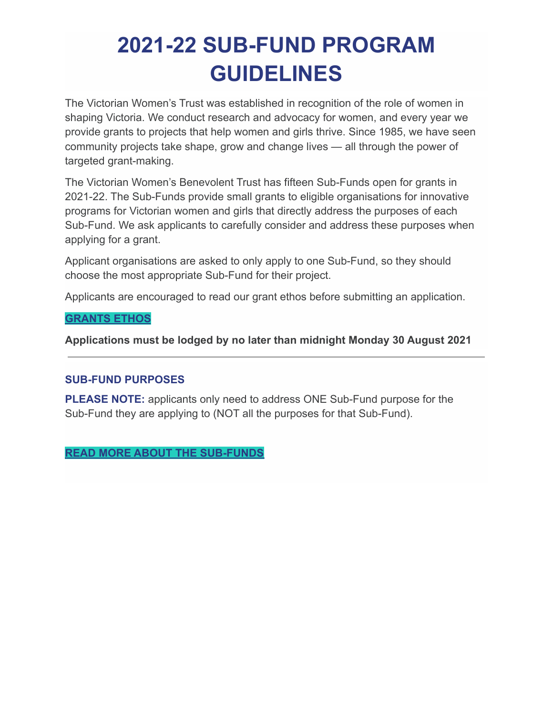# **2021-22 SUB-FUND PROGRAM GUIDELINES**

The Victorian Women's Trust was established in recognition of the role of women in shaping Victoria. We conduct research and advocacy for women, and every year we provide grants to projects that help women and girls thrive. Since 1985, we have seen community projects take shape, grow and change lives — all through the power of targeted grant-making.

The Victorian Women's Benevolent Trust has fifteen Sub-Funds open for grants in 2021-22. The Sub-Funds provide small grants to eligible organisations for innovative programs for Victorian women and girls that directly address the purposes of each Sub-Fund. We ask applicants to carefully consider and address these purposes when applying for a grant.

Applicant organisations are asked to only apply to one Sub-Fund, so they should choose the most appropriate Sub-Fund for their project.

Applicants are encouraged to read our grant ethos before submitting an application.

#### **[GRANTS ETHOS](https://www.vwt.org.au/victorian-womens-benevolent-trust/grants-ethos/)**

**Applications must be lodged by no later than midnight Monday 30 August 2021**

#### **SUB-FUND PURPOSES**

**PLEASE NOTE:** applicants only need to address ONE Sub-Fund purpose for the Sub-Fund they are applying to (NOT all the purposes for that Sub-Fund).

#### **[READ MORE ABOUT THE SUB-FUNDS](https://www.vwt.org.au/grants/sub-funds/)**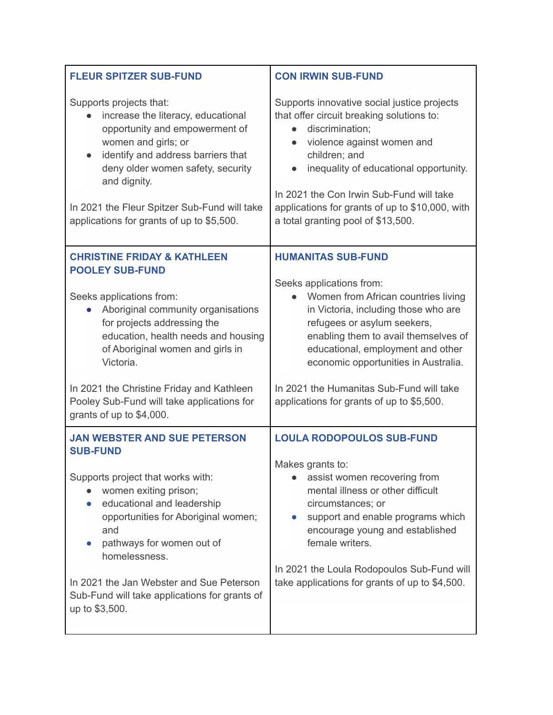| <b>FLEUR SPITZER SUB-FUND</b>                                                                                                                                                                                                                                                                                                                                              | <b>CON IRWIN SUB-FUND</b>                                                                                                                                                                                                                                                                                                                 |
|----------------------------------------------------------------------------------------------------------------------------------------------------------------------------------------------------------------------------------------------------------------------------------------------------------------------------------------------------------------------------|-------------------------------------------------------------------------------------------------------------------------------------------------------------------------------------------------------------------------------------------------------------------------------------------------------------------------------------------|
| Supports projects that:<br>increase the literacy, educational<br>opportunity and empowerment of<br>women and girls; or<br>identify and address barriers that<br>deny older women safety, security<br>and dignity.<br>In 2021 the Fleur Spitzer Sub-Fund will take<br>applications for grants of up to \$5,500.                                                             | Supports innovative social justice projects<br>that offer circuit breaking solutions to:<br>discrimination;<br>violence against women and<br>children; and<br>inequality of educational opportunity.<br>In 2021 the Con Irwin Sub-Fund will take<br>applications for grants of up to \$10,000, with<br>a total granting pool of \$13,500. |
| <b>CHRISTINE FRIDAY &amp; KATHLEEN</b><br><b>POOLEY SUB-FUND</b><br>Seeks applications from:<br>Aboriginal community organisations<br>for projects addressing the<br>education, health needs and housing<br>of Aboriginal women and girls in<br>Victoria.                                                                                                                  | <b>HUMANITAS SUB-FUND</b><br>Seeks applications from:<br>Women from African countries living<br>in Victoria, including those who are<br>refugees or asylum seekers,<br>enabling them to avail themselves of<br>educational, employment and other<br>economic opportunities in Australia.                                                  |
| In 2021 the Christine Friday and Kathleen<br>Pooley Sub-Fund will take applications for<br>grants of up to \$4,000.                                                                                                                                                                                                                                                        | In 2021 the Humanitas Sub-Fund will take<br>applications for grants of up to \$5,500.                                                                                                                                                                                                                                                     |
| <b>JAN WEBSTER AND SUE PETERSON</b><br><b>SUB-FUND</b><br>Supports project that works with:<br>women exiting prison;<br>educational and leadership<br>$\bullet$<br>opportunities for Aboriginal women;<br>and<br>pathways for women out of<br>homelessness.<br>In 2021 the Jan Webster and Sue Peterson<br>Sub-Fund will take applications for grants of<br>up to \$3,500. | <b>LOULA RODOPOULOS SUB-FUND</b><br>Makes grants to:<br>assist women recovering from<br>mental illness or other difficult<br>circumstances; or<br>support and enable programs which<br>encourage young and established<br>female writers.<br>In 2021 the Loula Rodopoulos Sub-Fund will<br>take applications for grants of up to \$4,500. |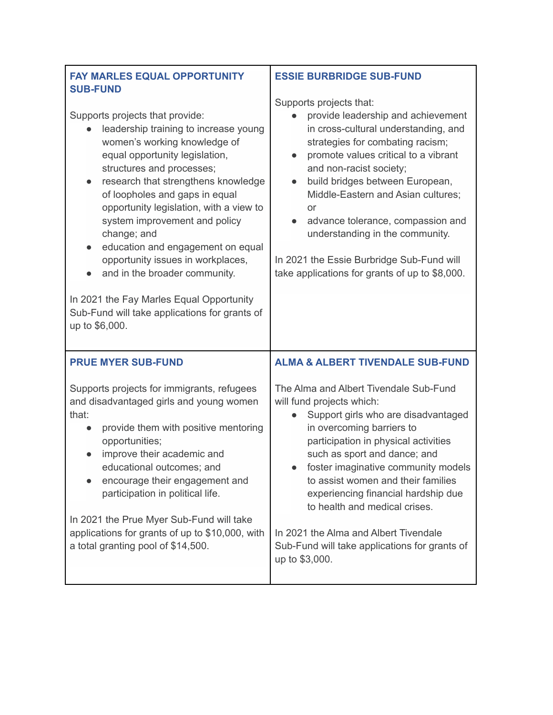| <b>FAY MARLES EQUAL OPPORTUNITY</b><br><b>SUB-FUND</b>                                                                                                                                                                                                                                                                                                                                                                                                                                                                                                                                                       | <b>ESSIE BURBRIDGE SUB-FUND</b>                                                                                                                                                                                                                                                                                                                                                                                                                                                                     |
|--------------------------------------------------------------------------------------------------------------------------------------------------------------------------------------------------------------------------------------------------------------------------------------------------------------------------------------------------------------------------------------------------------------------------------------------------------------------------------------------------------------------------------------------------------------------------------------------------------------|-----------------------------------------------------------------------------------------------------------------------------------------------------------------------------------------------------------------------------------------------------------------------------------------------------------------------------------------------------------------------------------------------------------------------------------------------------------------------------------------------------|
| Supports projects that provide:<br>leadership training to increase young<br>women's working knowledge of<br>equal opportunity legislation,<br>structures and processes;<br>research that strengthens knowledge<br>$\bullet$<br>of loopholes and gaps in equal<br>opportunity legislation, with a view to<br>system improvement and policy<br>change; and<br>education and engagement on equal<br>$\bullet$<br>opportunity issues in workplaces,<br>and in the broader community.<br>$\bullet$<br>In 2021 the Fay Marles Equal Opportunity<br>Sub-Fund will take applications for grants of<br>up to \$6,000. | Supports projects that:<br>provide leadership and achievement<br>in cross-cultural understanding, and<br>strategies for combating racism;<br>promote values critical to a vibrant<br>$\bullet$<br>and non-racist society;<br>build bridges between European,<br>$\bullet$<br>Middle-Eastern and Asian cultures;<br><b>or</b><br>advance tolerance, compassion and<br>understanding in the community.<br>In 2021 the Essie Burbridge Sub-Fund will<br>take applications for grants of up to \$8,000. |
| <b>PRUE MYER SUB-FUND</b>                                                                                                                                                                                                                                                                                                                                                                                                                                                                                                                                                                                    | <b>ALMA &amp; ALBERT TIVENDALE SUB-FUND</b>                                                                                                                                                                                                                                                                                                                                                                                                                                                         |
| Supports projects for immigrants, refugees<br>and disadvantaged girls and young women<br>that:<br>provide them with positive mentoring<br>opportunities;<br>improve their academic and<br>educational outcomes; and<br>encourage their engagement and<br>participation in political life.<br>In 2021 the Prue Myer Sub-Fund will take                                                                                                                                                                                                                                                                        | The Alma and Albert Tivendale Sub-Fund<br>will fund projects which:<br>Support girls who are disadvantaged<br>in overcoming barriers to<br>participation in physical activities<br>such as sport and dance; and<br>foster imaginative community models<br>to assist women and their families<br>experiencing financial hardship due<br>to health and medical crises.                                                                                                                                |
| applications for grants of up to \$10,000, with<br>a total granting pool of \$14,500.                                                                                                                                                                                                                                                                                                                                                                                                                                                                                                                        | In 2021 the Alma and Albert Tivendale<br>Sub-Fund will take applications for grants of<br>up to \$3,000.                                                                                                                                                                                                                                                                                                                                                                                            |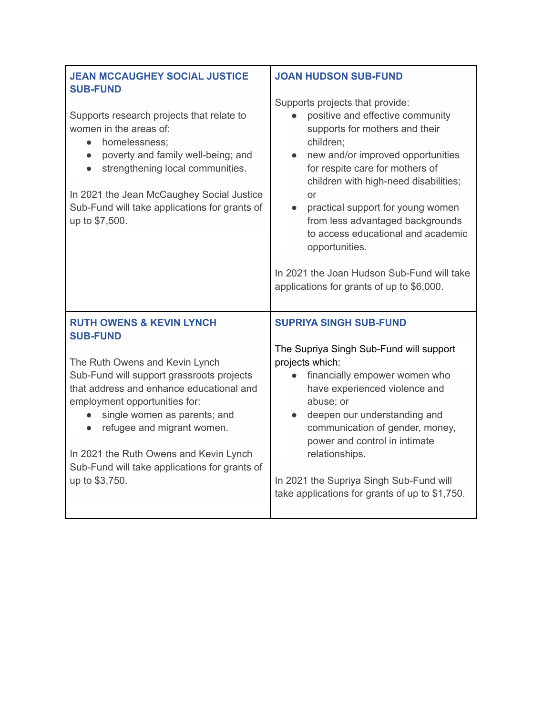| <b>JEAN MCCAUGHEY SOCIAL JUSTICE</b><br><b>SUB-FUND</b>                                                                                                                                                                                                                                                                                                       | <b>JOAN HUDSON SUB-FUND</b>                                                                                                                                                                                                                                                                                                                                                                                                                                                        |
|---------------------------------------------------------------------------------------------------------------------------------------------------------------------------------------------------------------------------------------------------------------------------------------------------------------------------------------------------------------|------------------------------------------------------------------------------------------------------------------------------------------------------------------------------------------------------------------------------------------------------------------------------------------------------------------------------------------------------------------------------------------------------------------------------------------------------------------------------------|
| Supports research projects that relate to<br>women in the areas of:<br>homelessness:<br>$\bullet$<br>poverty and family well-being; and<br>$\bullet$<br>strengthening local communities.<br>In 2021 the Jean McCaughey Social Justice<br>Sub-Fund will take applications for grants of<br>up to \$7,500.                                                      | Supports projects that provide:<br>positive and effective community<br>supports for mothers and their<br>children;<br>new and/or improved opportunities<br>for respite care for mothers of<br>children with high-need disabilities;<br>or<br>practical support for young women<br>$\bullet$<br>from less advantaged backgrounds<br>to access educational and academic<br>opportunities.<br>In 2021 the Joan Hudson Sub-Fund will take<br>applications for grants of up to \$6,000. |
| <b>RUTH OWENS &amp; KEVIN LYNCH</b><br><b>SUB-FUND</b>                                                                                                                                                                                                                                                                                                        | <b>SUPRIYA SINGH SUB-FUND</b>                                                                                                                                                                                                                                                                                                                                                                                                                                                      |
| The Ruth Owens and Kevin Lynch<br>Sub-Fund will support grassroots projects<br>that address and enhance educational and<br>employment opportunities for:<br>single women as parents; and<br>$\bullet$<br>refugee and migrant women.<br>$\bullet$<br>In 2021 the Ruth Owens and Kevin Lynch<br>Sub-Fund will take applications for grants of<br>up to \$3,750. | The Supriya Singh Sub-Fund will support<br>projects which:<br>financially empower women who<br>have experienced violence and<br>abuse; or<br>deepen our understanding and<br>communication of gender, money,<br>power and control in intimate<br>relationships.<br>In 2021 the Supriya Singh Sub-Fund will<br>take applications for grants of up to \$1,750.                                                                                                                       |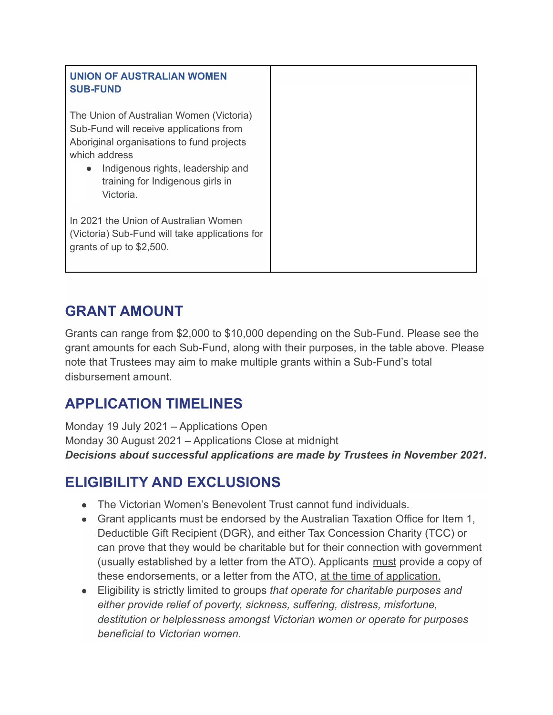| <b>UNION OF AUSTRALIAN WOMEN</b><br><b>SUB-FUND</b>                                                                                                                                                                                     |
|-----------------------------------------------------------------------------------------------------------------------------------------------------------------------------------------------------------------------------------------|
| The Union of Australian Women (Victoria)<br>Sub-Fund will receive applications from<br>Aboriginal organisations to fund projects<br>which address<br>Indigenous rights, leadership and<br>training for Indigenous girls in<br>Victoria. |
| In 2021 the Union of Australian Women<br>(Victoria) Sub-Fund will take applications for<br>grants of up to \$2,500.                                                                                                                     |

### **GRANT AMOUNT**

Grants can range from \$2,000 to \$10,000 depending on the Sub-Fund. Please see the grant amounts for each Sub-Fund, along with their purposes, in the table above. Please note that Trustees may aim to make multiple grants within a Sub-Fund's total disbursement amount.

### **APPLICATION TIMELINES**

Monday 19 July 2021 – Applications Open Monday 30 August 2021 – Applications Close at midnight *Decisions about successful applications are made by Trustees in November 2021.*

## **ELIGIBILITY AND EXCLUSIONS**

- The Victorian Women's Benevolent Trust cannot fund individuals.
- Grant applicants must be endorsed by the Australian Taxation Office for Item 1, Deductible Gift Recipient (DGR), and either Tax Concession Charity (TCC) or can prove that they would be charitable but for their connection with government (usually established by a letter from the ATO). Applicants must provide a copy of these endorsements, or a letter from the ATO, at the time of application.
- Eligibility is strictly limited to groups *that operate for charitable purposes and either provide relief of poverty, sickness, suffering, distress, misfortune, destitution or helplessness amongst Victorian women or operate for purposes beneficial to Victorian women*.